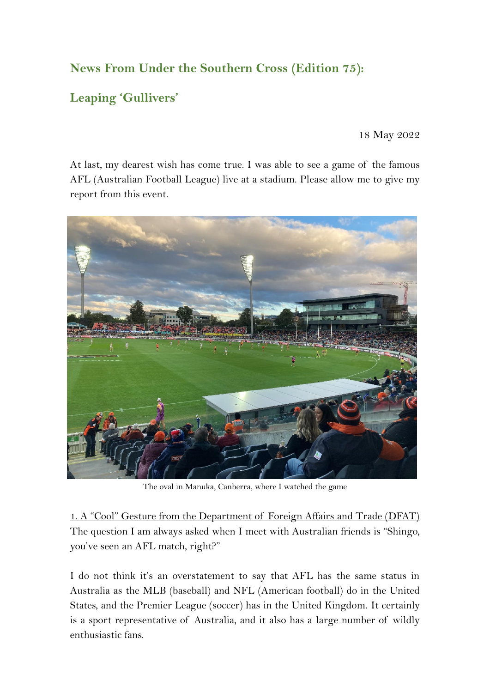## **News From Under the Southern Cross (Edition 75):**

# **Leaping 'Gullivers'**

18 May 2022

At last, my dearest wish has come true. I was able to see a game of the famous AFL (Australian Football League) live at a stadium. Please allow me to give my report from this event.



The oval in Manuka, Canberra, where I watched the game

1. A "Cool" Gesture from the Department of Foreign Affairs and Trade (DFAT) The question I am always asked when I meet with Australian friends is "Shingo, you've seen an AFL match, right?"

I do not think it's an overstatement to say that AFL has the same status in Australia as the MLB (baseball) and NFL (American football) do in the United States, and the Premier League (soccer) has in the United Kingdom. It certainly is a sport representative of Australia, and it also has a large number of wildly enthusiastic fans.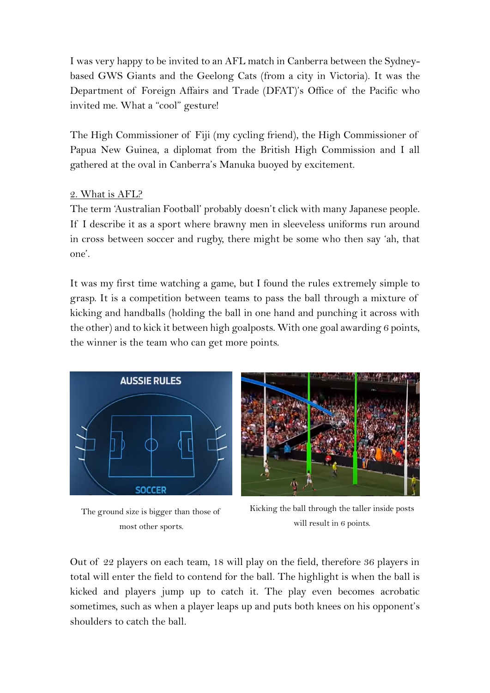I was very happy to be invited to an AFL match in Canberra between the Sydneybased GWS Giants and the Geelong Cats (from a city in Victoria). It was the Department of Foreign Affairs and Trade (DFAT)'s Office of the Pacific who invited me. What a "cool" gesture!

The High Commissioner of Fiji (my cycling friend), the High Commissioner of Papua New Guinea, a diplomat from the British High Commission and I all gathered at the oval in Canberra's Manuka buoyed by excitement.

### 2. What is AFL?

The term 'Australian Football' probably doesn't click with many Japanese people. If I describe it as a sport where brawny men in sleeveless uniforms run around in cross between soccer and rugby, there might be some who then say 'ah, that one'.

It was my first time watching a game, but I found the rules extremely simple to grasp. It is a competition between teams to pass the ball through a mixture of kicking and handballs (holding the ball in one hand and punching it across with the other) and to kick it between high goalposts. With one goal awarding 6 points, the winner is the team who can get more points.



The ground size is bigger than those of most other sports.



Kicking the ball through the taller inside posts will result in 6 points.

Out of 22 players on each team, 18 will play on the field, therefore 36 players in total will enter the field to contend for the ball. The highlight is when the ball is kicked and players jump up to catch it. The play even becomes acrobatic sometimes, such as when a player leaps up and puts both knees on his opponent's shoulders to catch the ball.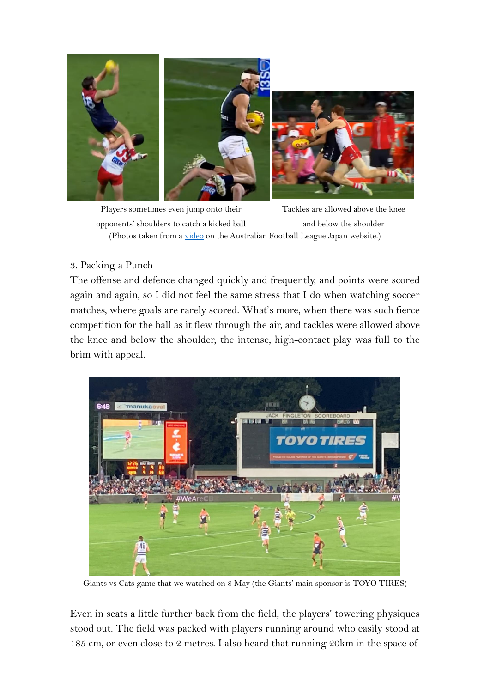

(Photos taken from a [video](https://www.youtube.com/watch?v=aEbbZ3ihWAs&t=2s) on the Australian Football League Japan website.) Players sometimes even jump onto their opponents' shoulders to catch a kicked ball Tackles are allowed above the knee and below the shoulder

#### 3. Packing a Punch

The offense and defence changed quickly and frequently, and points were scored again and again, so I did not feel the same stress that I do when watching soccer matches, where goals are rarely scored. What's more, when there was such fierce competition for the ball as it flew through the air, and tackles were allowed above the knee and below the shoulder, the intense, high-contact play was full to the brim with appeal.



Giants vs Cats game that we watched on 8 May (the Giants' main sponsor is TOYO TIRES)

Even in seats a little further back from the field, the players' towering physiques stood out. The field was packed with players running around who easily stood at 185 cm, or even close to 2 metres. I also heard that running 20km in the space of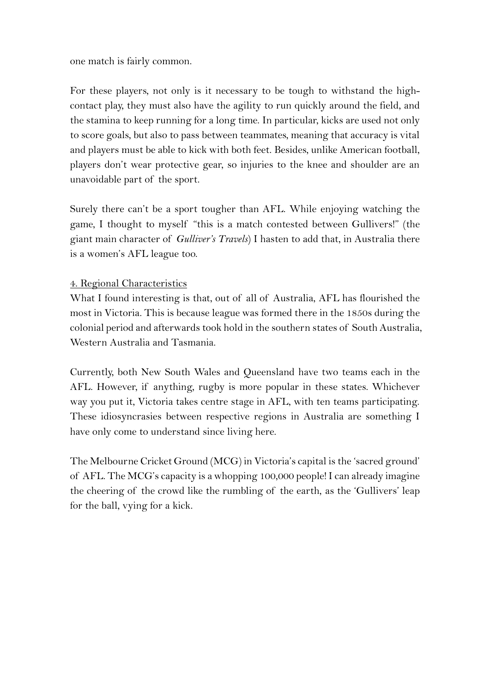one match is fairly common.

For these players, not only is it necessary to be tough to withstand the highcontact play, they must also have the agility to run quickly around the field, and the stamina to keep running for a long time. In particular, kicks are used not only to score goals, but also to pass between teammates, meaning that accuracy is vital and players must be able to kick with both feet. Besides, unlike American football, players don't wear protective gear, so injuries to the knee and shoulder are an unavoidable part of the sport.

Surely there can't be a sport tougher than AFL. While enjoying watching the game, I thought to myself "this is a match contested between Gullivers!" (the giant main character of *Gulliver's Travels*) I hasten to add that, in Australia there is a women's AFL league too.

## 4. Regional Characteristics

What I found interesting is that, out of all of Australia, AFL has flourished the most in Victoria. This is because league was formed there in the 1850s during the colonial period and afterwards took hold in the southern states of South Australia, Western Australia and Tasmania.

Currently, both New South Wales and Queensland have two teams each in the AFL. However, if anything, rugby is more popular in these states. Whichever way you put it, Victoria takes centre stage in AFL, with ten teams participating. These idiosyncrasies between respective regions in Australia are something I have only come to understand since living here.

The Melbourne Cricket Ground (MCG) in Victoria's capital is the 'sacred ground' of AFL. The MCG's capacity is a whopping 100,000 people! I can already imagine the cheering of the crowd like the rumbling of the earth, as the 'Gullivers' leap for the ball, vying for a kick.